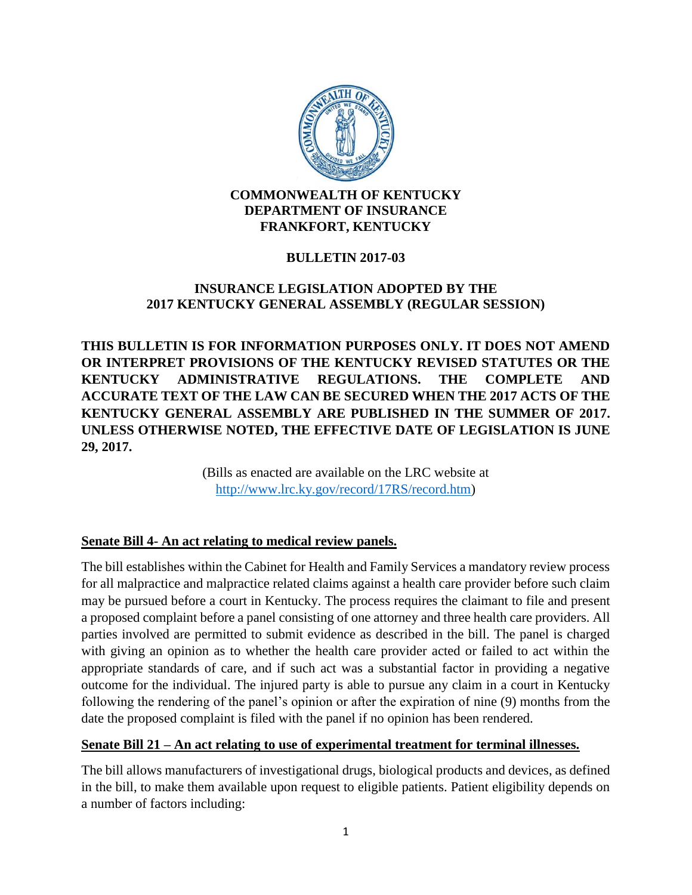

#### **COMMONWEALTH OF KENTUCKY DEPARTMENT OF INSURANCE FRANKFORT, KENTUCKY**

### **BULLETIN 2017-03**

### **INSURANCE LEGISLATION ADOPTED BY THE 2017 KENTUCKY GENERAL ASSEMBLY (REGULAR SESSION)**

**THIS BULLETIN IS FOR INFORMATION PURPOSES ONLY. IT DOES NOT AMEND OR INTERPRET PROVISIONS OF THE KENTUCKY REVISED STATUTES OR THE KENTUCKY ADMINISTRATIVE REGULATIONS. THE COMPLETE AND ACCURATE TEXT OF THE LAW CAN BE SECURED WHEN THE 2017 ACTS OF THE KENTUCKY GENERAL ASSEMBLY ARE PUBLISHED IN THE SUMMER OF 2017. UNLESS OTHERWISE NOTED, THE EFFECTIVE DATE OF LEGISLATION IS JUNE 29, 2017.** 

> (Bills as enacted are available on the LRC website at [http://www.lrc.ky.gov/record/17RS/record.htm\)](http://www.lrc.ky.gov/record/17RS/record.htm)

#### **Senate Bill 4- An act relating to medical review panels.**

The bill establishes within the Cabinet for Health and Family Services a mandatory review process for all malpractice and malpractice related claims against a health care provider before such claim may be pursued before a court in Kentucky. The process requires the claimant to file and present a proposed complaint before a panel consisting of one attorney and three health care providers. All parties involved are permitted to submit evidence as described in the bill. The panel is charged with giving an opinion as to whether the health care provider acted or failed to act within the appropriate standards of care, and if such act was a substantial factor in providing a negative outcome for the individual. The injured party is able to pursue any claim in a court in Kentucky following the rendering of the panel's opinion or after the expiration of nine (9) months from the date the proposed complaint is filed with the panel if no opinion has been rendered.

#### **Senate Bill 21 – An act relating to use of experimental treatment for terminal illnesses.**

The bill allows manufacturers of investigational drugs, biological products and devices, as defined in the bill, to make them available upon request to eligible patients. Patient eligibility depends on a number of factors including: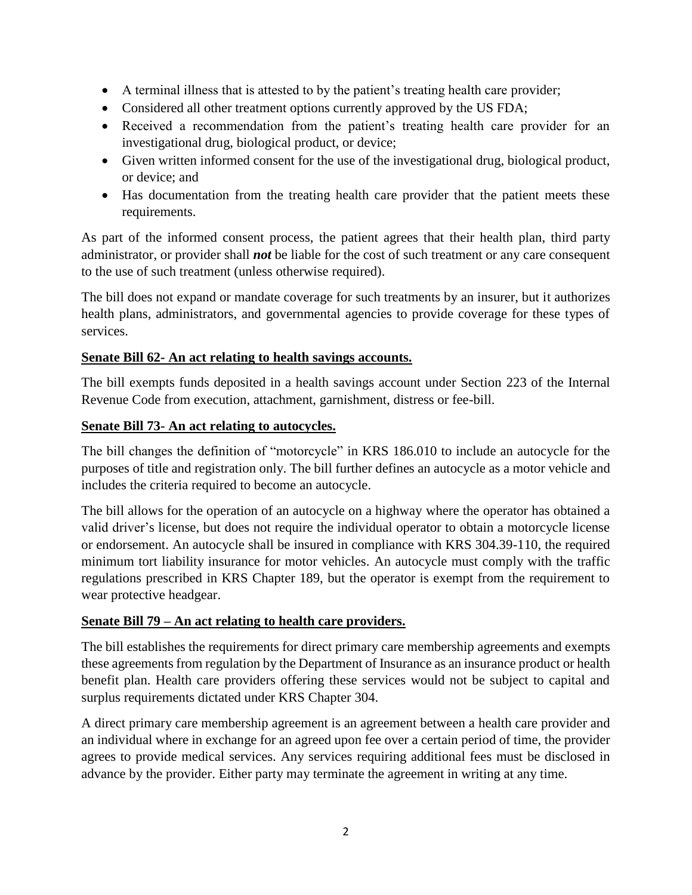- A terminal illness that is attested to by the patient's treating health care provider;
- Considered all other treatment options currently approved by the US FDA;
- Received a recommendation from the patient's treating health care provider for an investigational drug, biological product, or device;
- Given written informed consent for the use of the investigational drug, biological product, or device; and
- Has documentation from the treating health care provider that the patient meets these requirements.

As part of the informed consent process, the patient agrees that their health plan, third party administrator, or provider shall *not* be liable for the cost of such treatment or any care consequent to the use of such treatment (unless otherwise required).

The bill does not expand or mandate coverage for such treatments by an insurer, but it authorizes health plans, administrators, and governmental agencies to provide coverage for these types of services.

#### **Senate Bill 62- An act relating to health savings accounts.**

The bill exempts funds deposited in a health savings account under Section 223 of the Internal Revenue Code from execution, attachment, garnishment, distress or fee-bill.

#### **Senate Bill 73- An act relating to autocycles.**

The bill changes the definition of "motorcycle" in KRS 186.010 to include an autocycle for the purposes of title and registration only. The bill further defines an autocycle as a motor vehicle and includes the criteria required to become an autocycle.

The bill allows for the operation of an autocycle on a highway where the operator has obtained a valid driver's license, but does not require the individual operator to obtain a motorcycle license or endorsement. An autocycle shall be insured in compliance with KRS 304.39-110, the required minimum tort liability insurance for motor vehicles. An autocycle must comply with the traffic regulations prescribed in KRS Chapter 189, but the operator is exempt from the requirement to wear protective headgear.

#### **Senate Bill 79 – An act relating to health care providers.**

The bill establishes the requirements for direct primary care membership agreements and exempts these agreements from regulation by the Department of Insurance as an insurance product or health benefit plan. Health care providers offering these services would not be subject to capital and surplus requirements dictated under KRS Chapter 304.

A direct primary care membership agreement is an agreement between a health care provider and an individual where in exchange for an agreed upon fee over a certain period of time, the provider agrees to provide medical services. Any services requiring additional fees must be disclosed in advance by the provider. Either party may terminate the agreement in writing at any time.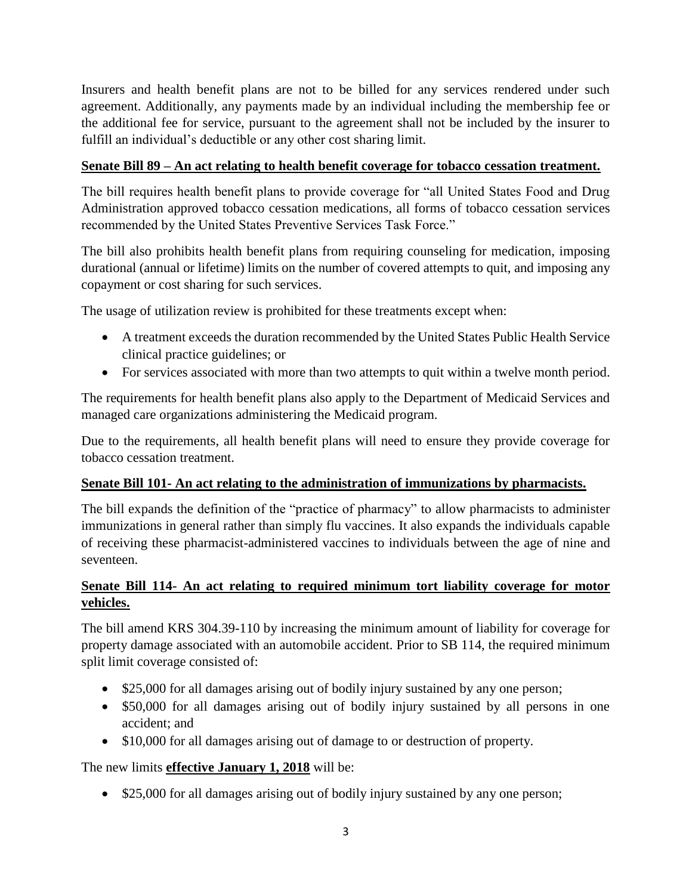Insurers and health benefit plans are not to be billed for any services rendered under such agreement. Additionally, any payments made by an individual including the membership fee or the additional fee for service, pursuant to the agreement shall not be included by the insurer to fulfill an individual's deductible or any other cost sharing limit.

### **Senate Bill 89 – An act relating to health benefit coverage for tobacco cessation treatment.**

The bill requires health benefit plans to provide coverage for "all United States Food and Drug Administration approved tobacco cessation medications, all forms of tobacco cessation services recommended by the United States Preventive Services Task Force."

The bill also prohibits health benefit plans from requiring counseling for medication, imposing durational (annual or lifetime) limits on the number of covered attempts to quit, and imposing any copayment or cost sharing for such services.

The usage of utilization review is prohibited for these treatments except when:

- A treatment exceeds the duration recommended by the United States Public Health Service clinical practice guidelines; or
- For services associated with more than two attempts to quit within a twelve month period.

The requirements for health benefit plans also apply to the Department of Medicaid Services and managed care organizations administering the Medicaid program.

Due to the requirements, all health benefit plans will need to ensure they provide coverage for tobacco cessation treatment.

#### **Senate Bill 101- An act relating to the administration of immunizations by pharmacists.**

The bill expands the definition of the "practice of pharmacy" to allow pharmacists to administer immunizations in general rather than simply flu vaccines. It also expands the individuals capable of receiving these pharmacist-administered vaccines to individuals between the age of nine and seventeen.

### **Senate Bill 114- An act relating to required minimum tort liability coverage for motor vehicles.**

The bill amend KRS 304.39-110 by increasing the minimum amount of liability for coverage for property damage associated with an automobile accident. Prior to SB 114, the required minimum split limit coverage consisted of:

- \$25,000 for all damages arising out of bodily injury sustained by any one person;
- \$50,000 for all damages arising out of bodily injury sustained by all persons in one accident; and
- \$10,000 for all damages arising out of damage to or destruction of property.

#### The new limits **effective January 1, 2018** will be:

• \$25,000 for all damages arising out of bodily injury sustained by any one person;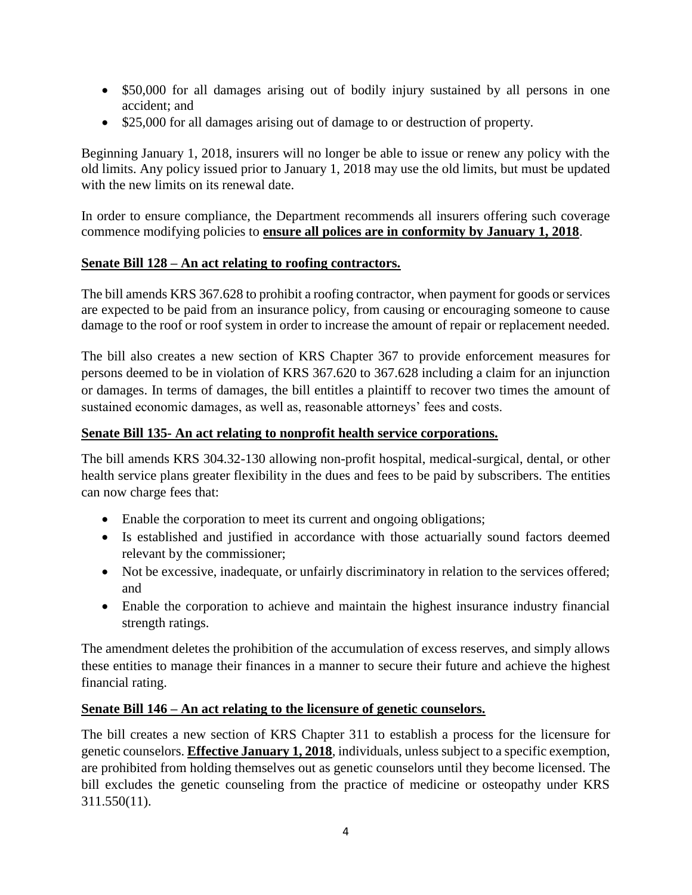- \$50,000 for all damages arising out of bodily injury sustained by all persons in one accident; and
- \$25,000 for all damages arising out of damage to or destruction of property.

Beginning January 1, 2018, insurers will no longer be able to issue or renew any policy with the old limits. Any policy issued prior to January 1, 2018 may use the old limits, but must be updated with the new limits on its renewal date.

In order to ensure compliance, the Department recommends all insurers offering such coverage commence modifying policies to **ensure all polices are in conformity by January 1, 2018**.

#### **Senate Bill 128 – An act relating to roofing contractors.**

The bill amends KRS 367.628 to prohibit a roofing contractor, when payment for goods or services are expected to be paid from an insurance policy, from causing or encouraging someone to cause damage to the roof or roof system in order to increase the amount of repair or replacement needed.

The bill also creates a new section of KRS Chapter 367 to provide enforcement measures for persons deemed to be in violation of KRS 367.620 to 367.628 including a claim for an injunction or damages. In terms of damages, the bill entitles a plaintiff to recover two times the amount of sustained economic damages, as well as, reasonable attorneys' fees and costs.

#### **Senate Bill 135- An act relating to nonprofit health service corporations.**

The bill amends KRS 304.32-130 allowing non-profit hospital, medical-surgical, dental, or other health service plans greater flexibility in the dues and fees to be paid by subscribers. The entities can now charge fees that:

- Enable the corporation to meet its current and ongoing obligations;
- Is established and justified in accordance with those actuarially sound factors deemed relevant by the commissioner;
- Not be excessive, inadequate, or unfairly discriminatory in relation to the services offered; and
- Enable the corporation to achieve and maintain the highest insurance industry financial strength ratings.

The amendment deletes the prohibition of the accumulation of excess reserves, and simply allows these entities to manage their finances in a manner to secure their future and achieve the highest financial rating.

#### **Senate Bill 146 – An act relating to the licensure of genetic counselors.**

The bill creates a new section of KRS Chapter 311 to establish a process for the licensure for genetic counselors. **Effective January 1, 2018**, individuals, unless subject to a specific exemption, are prohibited from holding themselves out as genetic counselors until they become licensed. The bill excludes the genetic counseling from the practice of medicine or osteopathy under KRS 311.550(11).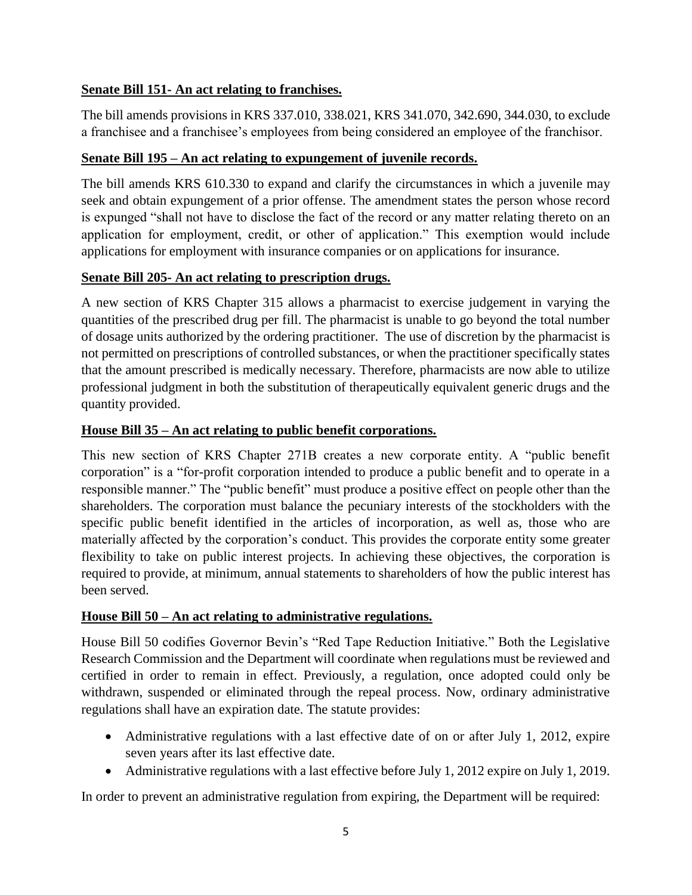## **Senate Bill 151- An act relating to franchises.**

The bill amends provisions in KRS 337.010, 338.021, KRS 341.070, 342.690, 344.030, to exclude a franchisee and a franchisee's employees from being considered an employee of the franchisor.

### **Senate Bill 195 – An act relating to expungement of juvenile records.**

The bill amends KRS 610.330 to expand and clarify the circumstances in which a juvenile may seek and obtain expungement of a prior offense. The amendment states the person whose record is expunged "shall not have to disclose the fact of the record or any matter relating thereto on an application for employment, credit, or other of application." This exemption would include applications for employment with insurance companies or on applications for insurance.

#### **Senate Bill 205- An act relating to prescription drugs.**

A new section of KRS Chapter 315 allows a pharmacist to exercise judgement in varying the quantities of the prescribed drug per fill. The pharmacist is unable to go beyond the total number of dosage units authorized by the ordering practitioner. The use of discretion by the pharmacist is not permitted on prescriptions of controlled substances, or when the practitioner specifically states that the amount prescribed is medically necessary. Therefore, pharmacists are now able to utilize professional judgment in both the substitution of therapeutically equivalent generic drugs and the quantity provided.

### **House Bill 35 – An act relating to public benefit corporations.**

This new section of KRS Chapter 271B creates a new corporate entity. A "public benefit corporation" is a "for-profit corporation intended to produce a public benefit and to operate in a responsible manner." The "public benefit" must produce a positive effect on people other than the shareholders. The corporation must balance the pecuniary interests of the stockholders with the specific public benefit identified in the articles of incorporation, as well as, those who are materially affected by the corporation's conduct. This provides the corporate entity some greater flexibility to take on public interest projects. In achieving these objectives, the corporation is required to provide, at minimum, annual statements to shareholders of how the public interest has been served.

#### **House Bill 50 – An act relating to administrative regulations.**

House Bill 50 codifies Governor Bevin's "Red Tape Reduction Initiative." Both the Legislative Research Commission and the Department will coordinate when regulations must be reviewed and certified in order to remain in effect. Previously, a regulation, once adopted could only be withdrawn, suspended or eliminated through the repeal process. Now, ordinary administrative regulations shall have an expiration date. The statute provides:

- Administrative regulations with a last effective date of on or after July 1, 2012, expire seven years after its last effective date.
- Administrative regulations with a last effective before July 1, 2012 expire on July 1, 2019.

In order to prevent an administrative regulation from expiring, the Department will be required: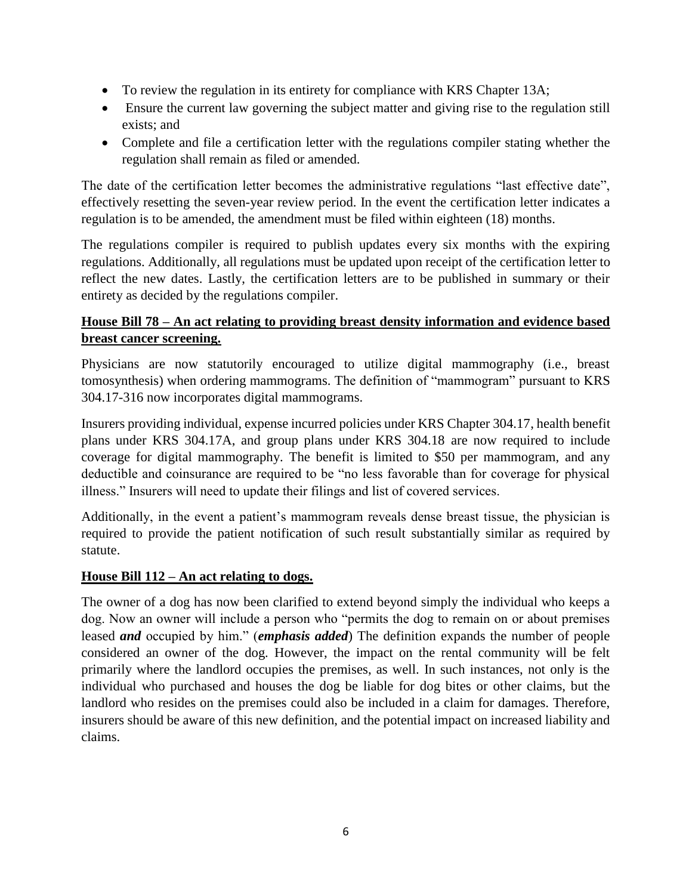- To review the regulation in its entirety for compliance with KRS Chapter 13A;
- Ensure the current law governing the subject matter and giving rise to the regulation still exists; and
- Complete and file a certification letter with the regulations compiler stating whether the regulation shall remain as filed or amended.

The date of the certification letter becomes the administrative regulations "last effective date", effectively resetting the seven-year review period. In the event the certification letter indicates a regulation is to be amended, the amendment must be filed within eighteen (18) months.

The regulations compiler is required to publish updates every six months with the expiring regulations. Additionally, all regulations must be updated upon receipt of the certification letter to reflect the new dates. Lastly, the certification letters are to be published in summary or their entirety as decided by the regulations compiler.

### **House Bill 78 – An act relating to providing breast density information and evidence based breast cancer screening.**

Physicians are now statutorily encouraged to utilize digital mammography (i.e., breast tomosynthesis) when ordering mammograms. The definition of "mammogram" pursuant to KRS 304.17-316 now incorporates digital mammograms.

Insurers providing individual, expense incurred policies under KRS Chapter 304.17, health benefit plans under KRS 304.17A, and group plans under KRS 304.18 are now required to include coverage for digital mammography. The benefit is limited to \$50 per mammogram, and any deductible and coinsurance are required to be "no less favorable than for coverage for physical illness." Insurers will need to update their filings and list of covered services.

Additionally, in the event a patient's mammogram reveals dense breast tissue, the physician is required to provide the patient notification of such result substantially similar as required by statute.

#### **House Bill 112 – An act relating to dogs.**

The owner of a dog has now been clarified to extend beyond simply the individual who keeps a dog. Now an owner will include a person who "permits the dog to remain on or about premises leased *and* occupied by him." (*emphasis added*) The definition expands the number of people considered an owner of the dog. However, the impact on the rental community will be felt primarily where the landlord occupies the premises, as well. In such instances, not only is the individual who purchased and houses the dog be liable for dog bites or other claims, but the landlord who resides on the premises could also be included in a claim for damages. Therefore, insurers should be aware of this new definition, and the potential impact on increased liability and claims.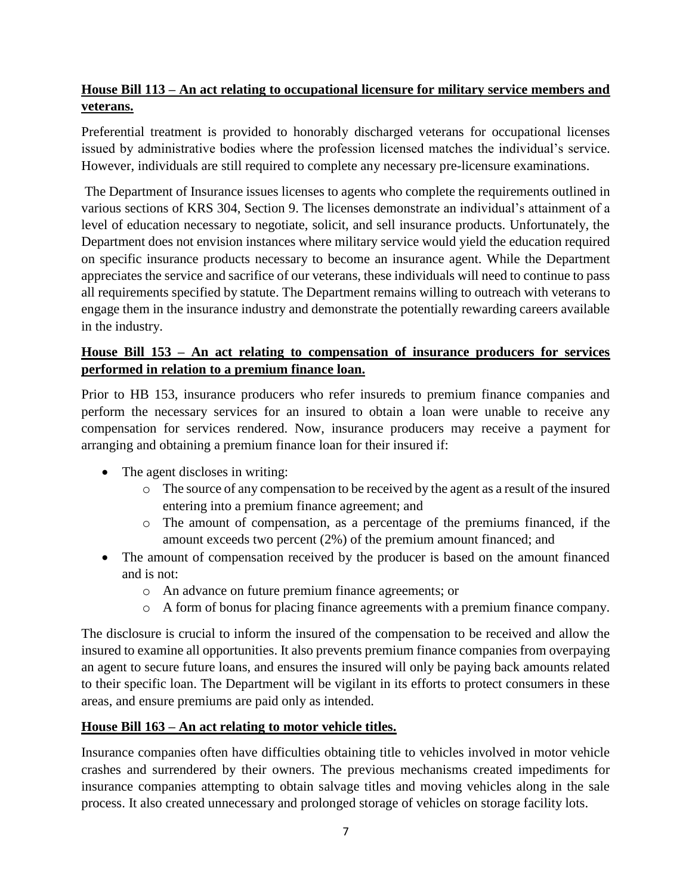# **House Bill 113 – An act relating to occupational licensure for military service members and veterans.**

Preferential treatment is provided to honorably discharged veterans for occupational licenses issued by administrative bodies where the profession licensed matches the individual's service. However, individuals are still required to complete any necessary pre-licensure examinations.

The Department of Insurance issues licenses to agents who complete the requirements outlined in various sections of KRS 304, Section 9. The licenses demonstrate an individual's attainment of a level of education necessary to negotiate, solicit, and sell insurance products. Unfortunately, the Department does not envision instances where military service would yield the education required on specific insurance products necessary to become an insurance agent. While the Department appreciates the service and sacrifice of our veterans, these individuals will need to continue to pass all requirements specified by statute. The Department remains willing to outreach with veterans to engage them in the insurance industry and demonstrate the potentially rewarding careers available in the industry.

## **House Bill 153 – An act relating to compensation of insurance producers for services performed in relation to a premium finance loan.**

Prior to HB 153, insurance producers who refer insureds to premium finance companies and perform the necessary services for an insured to obtain a loan were unable to receive any compensation for services rendered. Now, insurance producers may receive a payment for arranging and obtaining a premium finance loan for their insured if:

- The agent discloses in writing:
	- o The source of any compensation to be received by the agent as a result of the insured entering into a premium finance agreement; and
	- o The amount of compensation, as a percentage of the premiums financed, if the amount exceeds two percent (2%) of the premium amount financed; and
- The amount of compensation received by the producer is based on the amount financed and is not:
	- o An advance on future premium finance agreements; or
	- o A form of bonus for placing finance agreements with a premium finance company.

The disclosure is crucial to inform the insured of the compensation to be received and allow the insured to examine all opportunities. It also prevents premium finance companies from overpaying an agent to secure future loans, and ensures the insured will only be paying back amounts related to their specific loan. The Department will be vigilant in its efforts to protect consumers in these areas, and ensure premiums are paid only as intended.

#### **House Bill 163 – An act relating to motor vehicle titles.**

Insurance companies often have difficulties obtaining title to vehicles involved in motor vehicle crashes and surrendered by their owners. The previous mechanisms created impediments for insurance companies attempting to obtain salvage titles and moving vehicles along in the sale process. It also created unnecessary and prolonged storage of vehicles on storage facility lots.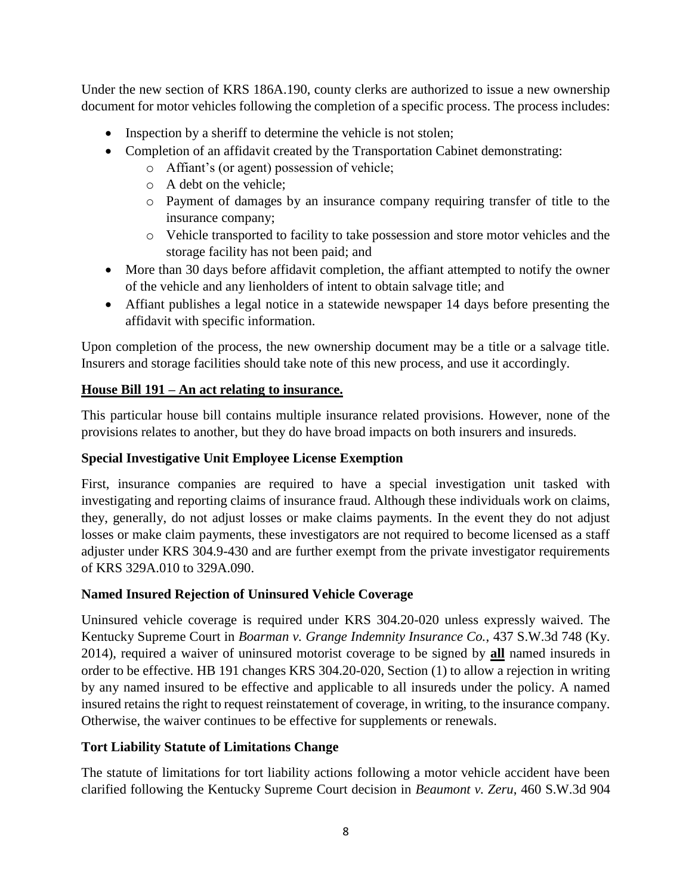Under the new section of KRS 186A.190, county clerks are authorized to issue a new ownership document for motor vehicles following the completion of a specific process. The process includes:

- Inspection by a sheriff to determine the vehicle is not stolen;
- Completion of an affidavit created by the Transportation Cabinet demonstrating:
	- o Affiant's (or agent) possession of vehicle;
	- o A debt on the vehicle;
	- o Payment of damages by an insurance company requiring transfer of title to the insurance company;
	- o Vehicle transported to facility to take possession and store motor vehicles and the storage facility has not been paid; and
- More than 30 days before affidavit completion, the affiant attempted to notify the owner of the vehicle and any lienholders of intent to obtain salvage title; and
- Affiant publishes a legal notice in a statewide newspaper 14 days before presenting the affidavit with specific information.

Upon completion of the process, the new ownership document may be a title or a salvage title. Insurers and storage facilities should take note of this new process, and use it accordingly.

# **House Bill 191 – An act relating to insurance.**

This particular house bill contains multiple insurance related provisions. However, none of the provisions relates to another, but they do have broad impacts on both insurers and insureds.

# **Special Investigative Unit Employee License Exemption**

First, insurance companies are required to have a special investigation unit tasked with investigating and reporting claims of insurance fraud. Although these individuals work on claims, they, generally, do not adjust losses or make claims payments. In the event they do not adjust losses or make claim payments, these investigators are not required to become licensed as a staff adjuster under KRS 304.9-430 and are further exempt from the private investigator requirements of KRS 329A.010 to 329A.090.

# **Named Insured Rejection of Uninsured Vehicle Coverage**

Uninsured vehicle coverage is required under KRS 304.20-020 unless expressly waived. The Kentucky Supreme Court in *Boarman v. Grange Indemnity Insurance Co.*, 437 S.W.3d 748 (Ky. 2014), required a waiver of uninsured motorist coverage to be signed by **all** named insureds in order to be effective. HB 191 changes KRS 304.20-020, Section (1) to allow a rejection in writing by any named insured to be effective and applicable to all insureds under the policy. A named insured retains the right to request reinstatement of coverage, in writing, to the insurance company. Otherwise, the waiver continues to be effective for supplements or renewals.

# **Tort Liability Statute of Limitations Change**

The statute of limitations for tort liability actions following a motor vehicle accident have been clarified following the Kentucky Supreme Court decision in *Beaumont v. Zeru*, 460 S.W.3d 904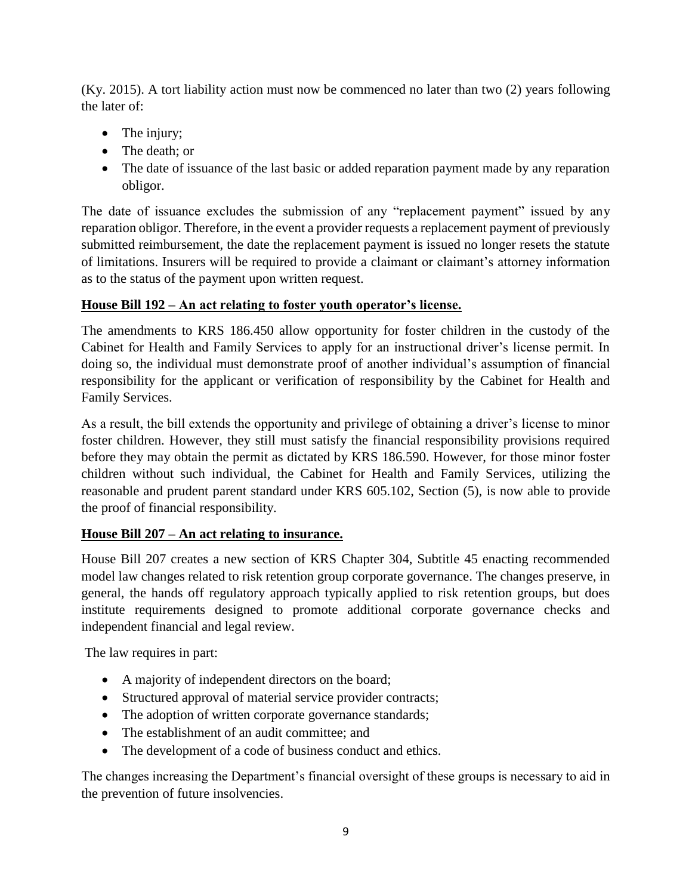(Ky. 2015). A tort liability action must now be commenced no later than two (2) years following the later of:

- The injury;
- The death: or
- The date of issuance of the last basic or added reparation payment made by any reparation obligor.

The date of issuance excludes the submission of any "replacement payment" issued by any reparation obligor. Therefore, in the event a provider requests a replacement payment of previously submitted reimbursement, the date the replacement payment is issued no longer resets the statute of limitations. Insurers will be required to provide a claimant or claimant's attorney information as to the status of the payment upon written request.

### **House Bill 192 – An act relating to foster youth operator's license.**

The amendments to KRS 186.450 allow opportunity for foster children in the custody of the Cabinet for Health and Family Services to apply for an instructional driver's license permit. In doing so, the individual must demonstrate proof of another individual's assumption of financial responsibility for the applicant or verification of responsibility by the Cabinet for Health and Family Services.

As a result, the bill extends the opportunity and privilege of obtaining a driver's license to minor foster children. However, they still must satisfy the financial responsibility provisions required before they may obtain the permit as dictated by KRS 186.590. However, for those minor foster children without such individual, the Cabinet for Health and Family Services, utilizing the reasonable and prudent parent standard under KRS 605.102, Section (5), is now able to provide the proof of financial responsibility.

# **House Bill 207 – An act relating to insurance.**

House Bill 207 creates a new section of KRS Chapter 304, Subtitle 45 enacting recommended model law changes related to risk retention group corporate governance. The changes preserve, in general, the hands off regulatory approach typically applied to risk retention groups, but does institute requirements designed to promote additional corporate governance checks and independent financial and legal review.

The law requires in part:

- A majority of independent directors on the board;
- Structured approval of material service provider contracts;
- The adoption of written corporate governance standards;
- The establishment of an audit committee; and
- The development of a code of business conduct and ethics.

The changes increasing the Department's financial oversight of these groups is necessary to aid in the prevention of future insolvencies.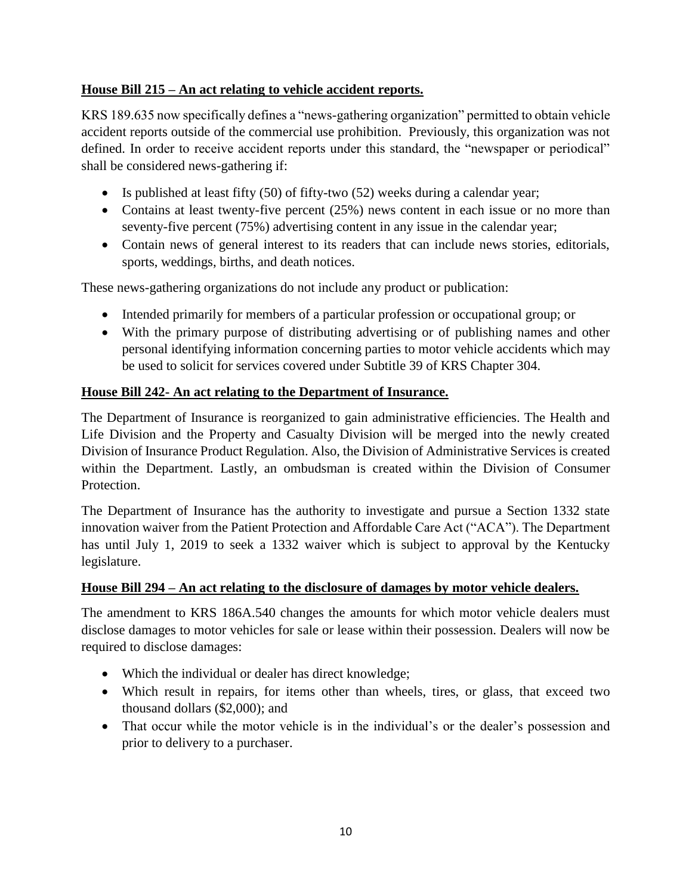# **House Bill 215 – An act relating to vehicle accident reports.**

KRS 189.635 now specifically defines a "news-gathering organization" permitted to obtain vehicle accident reports outside of the commercial use prohibition. Previously, this organization was not defined. In order to receive accident reports under this standard, the "newspaper or periodical" shall be considered news-gathering if:

- Is published at least fifty  $(50)$  of fifty-two  $(52)$  weeks during a calendar year;
- Contains at least twenty-five percent (25%) news content in each issue or no more than seventy-five percent (75%) advertising content in any issue in the calendar year;
- Contain news of general interest to its readers that can include news stories, editorials, sports, weddings, births, and death notices.

These news-gathering organizations do not include any product or publication:

- Intended primarily for members of a particular profession or occupational group; or
- With the primary purpose of distributing advertising or of publishing names and other personal identifying information concerning parties to motor vehicle accidents which may be used to solicit for services covered under Subtitle 39 of KRS Chapter 304.

# **House Bill 242- An act relating to the Department of Insurance.**

The Department of Insurance is reorganized to gain administrative efficiencies. The Health and Life Division and the Property and Casualty Division will be merged into the newly created Division of Insurance Product Regulation. Also, the Division of Administrative Services is created within the Department. Lastly, an ombudsman is created within the Division of Consumer Protection.

The Department of Insurance has the authority to investigate and pursue a Section 1332 state innovation waiver from the Patient Protection and Affordable Care Act ("ACA"). The Department has until July 1, 2019 to seek a 1332 waiver which is subject to approval by the Kentucky legislature.

# **House Bill 294 – An act relating to the disclosure of damages by motor vehicle dealers.**

The amendment to KRS 186A.540 changes the amounts for which motor vehicle dealers must disclose damages to motor vehicles for sale or lease within their possession. Dealers will now be required to disclose damages:

- Which the individual or dealer has direct knowledge;
- Which result in repairs, for items other than wheels, tires, or glass, that exceed two thousand dollars (\$2,000); and
- That occur while the motor vehicle is in the individual's or the dealer's possession and prior to delivery to a purchaser.